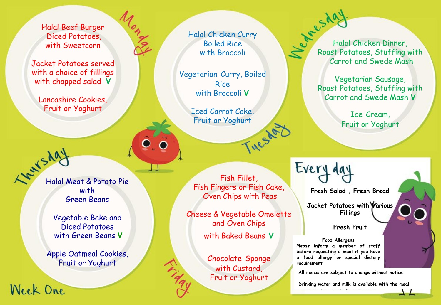Halal Beef Burger Diced Potatoes, with Sweetcorn

Jacket Potatoes served with a choice of fillings with chopped salad **V** 

Lancashire Cookies, Fruit or Yoghurt

Halal Meat & Potato Pie with Green Beans

> Vegetable Bake and Diced Potatoes with Green Beans **V**

Apple Oatmeal Cookies, Fruit or Yoghurt

Week One

Boiled Rice with Broccoli

Halal Chicken Curry

Vegetarian Curry, Boiled Rice with Broccoli **V** 

> Iced Carrot Cake, Fruit or Yoghurt

Fish Fillet, Fish Fingers or Fish Cake, Oven Chips with Peas

Cheese & Vegetable Omelette and Oven Chips

with Baked Beans **V** 

Chocolate Sponge with Custard, Fruit or Yoghurt

Res day<br>Halal Chicken Dinner,<br>Roast Potatoes, Stuffing Roast Potatoes, Stuffing with Carrot and Swede Mash

> Vegetarian Sausage, Roast Potatoes, Stuffing with Carrot and Swede Mash **V**

> > Ice Cream, Fruit or Yoghurt

**Fresh Salad , Fresh Bread** 

**Jacket Potatoes with Various Fillings** 

**Fresh Fruit** 

**Food Allergens Please inform a member of staff before requesting a meal if you have a food allergy or special dietary requirement**

Every da

**All menus are subject to change without notice** 

**Drinking water and milk is available with the meal**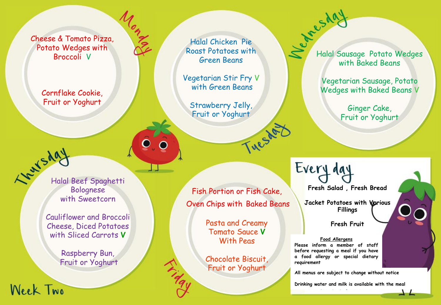Cheese & Tomato Pizza, Potato Wedges with Broccoli V

l<sub>on M</sub>

Cornflake Cookie, Fruit or Yoghurt



Week Two

Bolognese with Sweetcorn

Cauliflower and Broccoli Cheese, Diced Potatoes with Sliced Carrots **V**

> Raspberry Bun, Fruit or Yoghurt

Halal Chicken Pie Roast Potatoes with Green Beans

Vegetarian Stir Fry V with Green Beans

Strawberry Jelly, Fruit or Yoghurt

Fish Portion or Fish Cake, Oven Chips with Baked Beans

Tuesday

Pasta and Creamy Tomato Sauce **V**  With Peas

Chocolate Biscuit, Fruit or Yoghurt

Triday

Halal Sausage Potato Wedges with Baked Beans

> Vegetarian Sausage, Potato Wedges with Baked Beans V

> > Ginger Cake, Fruit or Yoghurt

**Fresh Salad , Fresh Bread** 

Every day

**Jacket Potatoes with Various Fillings** 

**Fresh Fruit** 

**Food Allergens Please inform a member of staff before requesting a meal if you have a food allergy or special dietary requirement**

**All menus are subject to change without notice** 

**Drinking water and milk is available with the meal**